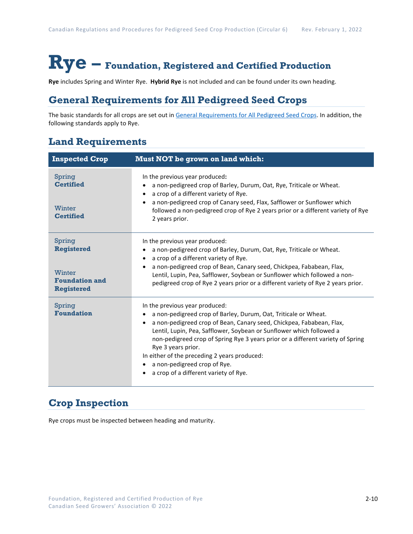# **Rye – Foundation, Registered and Certified Production**

**Rye** includes Spring and Winter Rye. **Hybrid Rye** is not included and can be found under its own heading.

### **General Requirements for All Pedigreed Seed Crops**

The basic standards for all crops are set out i[n General Requirements for All Pedigreed Seed](https://seedgrowers.ca/wp-content/uploads/2020/01/GENERAL-REQUIREMENTS-ALL-CROPS_EN.pdf) Crops. In addition, the following standards apply to Rye.

### **Land Requirements**

| <b>Inspected Crop</b>                                                               | <b>Must NOT be grown on land which:</b>                                                                                                                                                                                                                                                                                                                                                                                                                                                          |  |  |
|-------------------------------------------------------------------------------------|--------------------------------------------------------------------------------------------------------------------------------------------------------------------------------------------------------------------------------------------------------------------------------------------------------------------------------------------------------------------------------------------------------------------------------------------------------------------------------------------------|--|--|
| Spring<br><b>Certified</b><br>Winter<br><b>Certified</b>                            | In the previous year produced:<br>a non-pedigreed crop of Barley, Durum, Oat, Rye, Triticale or Wheat.<br>a crop of a different variety of Rye.<br>a non-pedigreed crop of Canary seed, Flax, Safflower or Sunflower which<br>followed a non-pedigreed crop of Rye 2 years prior or a different variety of Rye<br>2 years prior.                                                                                                                                                                 |  |  |
| Spring<br><b>Registered</b><br>Winter<br><b>Foundation and</b><br><b>Registered</b> | In the previous year produced:<br>a non-pedigreed crop of Barley, Durum, Oat, Rye, Triticale or Wheat.<br>a crop of a different variety of Rye.<br>a non-pedigreed crop of Bean, Canary seed, Chickpea, Fababean, Flax,<br>Lentil, Lupin, Pea, Safflower, Soybean or Sunflower which followed a non-<br>pedigreed crop of Rye 2 years prior or a different variety of Rye 2 years prior.                                                                                                         |  |  |
| Spring<br><b>Foundation</b>                                                         | In the previous year produced:<br>a non-pedigreed crop of Barley, Durum, Oat, Triticale or Wheat.<br>a non-pedigreed crop of Bean, Canary seed, Chickpea, Fababean, Flax,<br>$\bullet$<br>Lentil, Lupin, Pea, Safflower, Soybean or Sunflower which followed a<br>non-pedigreed crop of Spring Rye 3 years prior or a different variety of Spring<br>Rye 3 years prior.<br>In either of the preceding 2 years produced:<br>a non-pedigreed crop of Rye.<br>a crop of a different variety of Rye. |  |  |

## **Crop Inspection**

Rye crops must be inspected between heading and maturity.